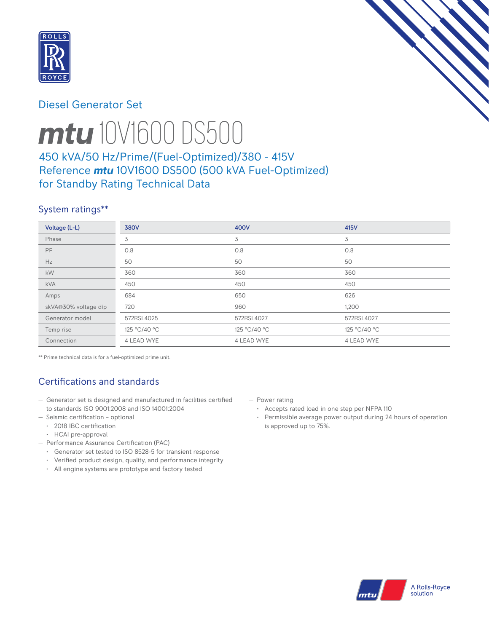

## Diesel Generator Set



# *mtu* 10V1600 DS500

# 450 kVA/50 Hz/Prime/(Fuel-Optimized)/380 - 415V Reference *mtu* 10V1600 DS500 (500 kVA Fuel-Optimized) for Standby Rating Technical Data

# System ratings\*\*

| Voltage (L-L)        | <b>380V</b>  | <b>400V</b>  | <b>415V</b>  |
|----------------------|--------------|--------------|--------------|
| Phase                | 3            | 3            | 3            |
| <b>PF</b>            | 0.8          | 0.8          | 0.8          |
| Hz                   | 50           | 50           | 50           |
| kW                   | 360          | 360          | 360          |
| <b>kVA</b>           | 450          | 450          | 450          |
| Amps                 | 684          | 650          | 626          |
| skVA@30% voltage dip | 720          | 960          | 1,200        |
| Generator model      | 572RSL4025   | 572RSL4027   | 572RSL4027   |
| Temp rise            | 125 °C/40 °C | 125 °C/40 °C | 125 °C/40 °C |
| Connection           | 4 LEAD WYE   | 4 LEAD WYE   | 4 LEAD WYE   |

\*\* Prime technical data is for a fuel-optimized prime unit.

# Certifications and standards

- Generator set is designed and manufactured in facilities certified to standards ISO 9001:2008 and ISO 14001:2004
- Seismic certification optional
	- 2018 IBC certification
	- HCAI pre-approval
- Performance Assurance Certification (PAC)
	- Generator set tested to ISO 8528-5 for transient response
	- Verified product design, quality, and performance integrity
	- All engine systems are prototype and factory tested
- Power rating
	- Accepts rated load in one step per NFPA 110
	- Permissible average power output during 24 hours of operation is approved up to 75%.

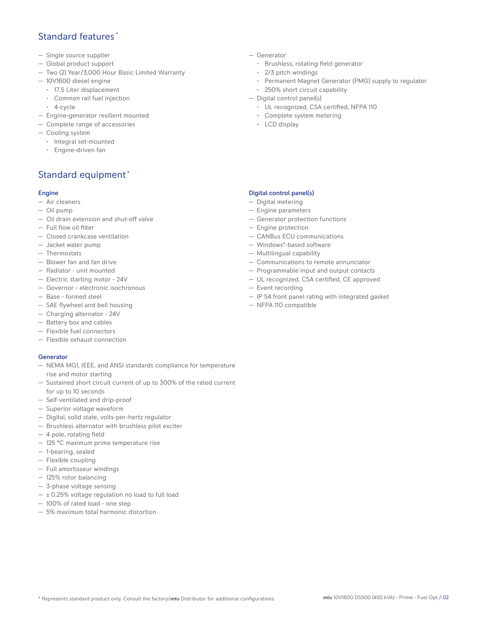## Standard features \*

- Single source supplier
- Global product support
- Two (2) Year/3,000 Hour Basic Limited Warranty
- 10V1600 diesel engine
	- 17.5 Liter displacement
	- Common rail fuel injection
	- 4-cycle
- Engine-generator resilient mounted
- Complete range of accessories
- Cooling system
- Integral set-mounted
	- Engine-driven fan

## Standard equipment \*

#### Engine

- Air cleaners
- Oil pump
- Oil drain extension and shut-off valve
- Full flow oil filter
- Closed crankcase ventilation
- Jacket water pump
- Thermostats
- Blower fan and fan drive
- Radiator unit mounted
- Electric starting motor 24V
- Governor electronic isochronous
- Base formed steel
- SAE flywheel and bell housing
- Charging alternator 24V
- Battery box and cables
- Flexible fuel connectors
- Flexible exhaust connection

#### Generator

- NEMA MG1, IEEE, and ANSI standards compliance for temperature rise and motor starting
- Sustained short circuit current of up to 300% of the rated current for up to 10 seconds
- Self-ventilated and drip-proof
- Superior voltage waveform
- Digital, solid state, volts-per-hertz regulator
- Brushless alternator with brushless pilot exciter
- 4 pole, rotating field
- 125 °C maximum prime temperature rise
- 1-bearing, sealed
- Flexible coupling
- Full amortisseur windings
- 125% rotor balancing
- 3-phase voltage sensing
- $\pm$  0.25% voltage regulation no load to full load
- 100% of rated load one step
- 5% maximum total harmonic distortion
- Generator
	- Brushless, rotating field generator
	- 2/3 pitch windings
	- Permanent Magnet Generator (PMG) supply to regulator
- 250% short circuit capability
- Digital control panel(s)
	- UL recognized, CSA certified, NFPA 110
	- Complete system metering
	- LCD display

#### Digital control panel(s)

- Digital metering
- Engine parameters
- Generator protection functions
- Engine protection
- CANBus ECU communications
- Windows®-based software
- Multilingual capability
- Communications to remote annunciator
- Programmable input and output contacts
- UL recognized, CSA certified, CE approved
- Event recording
- IP 54 front panel rating with integrated gasket
- NFPA 110 compatible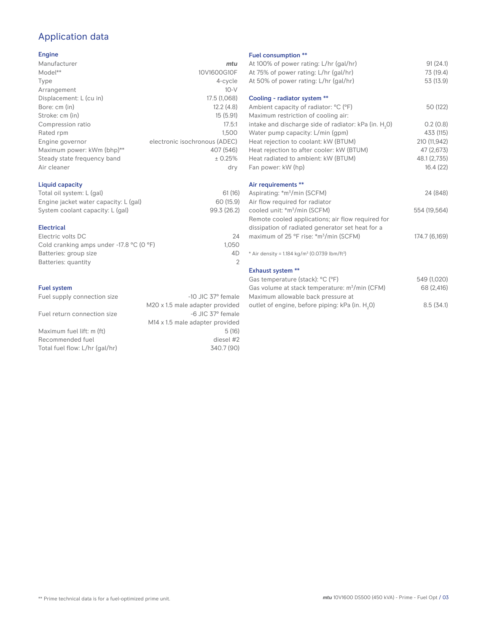## Application data

#### Engine

| Manufacturer                | mtu                           |
|-----------------------------|-------------------------------|
| Model**                     | 10V1600G10F                   |
| Type                        | 4-cycle                       |
| Arrangement                 | $10-V$                        |
| Displacement: L (cu in)     | 17.5 (1,068)                  |
| Bore: cm (in)               | 12.2(4.8)                     |
| Stroke: cm (in)             | 15(5.91)                      |
| Compression ratio           | 17.5:1                        |
| Rated rpm                   | 1.500                         |
| Engine governor             | electronic isochronous (ADEC) |
| Maximum power: kWm (bhp)**  | 407 (546)                     |
| Steady state frequency band | ± 0.25%                       |
| Air cleaner                 | dry                           |
|                             |                               |

### Liquid capacity

| Total oil system: L (gal)             | 61(16)      |
|---------------------------------------|-------------|
| Engine jacket water capacity: L (gal) | 60 (15.9)   |
| System coolant capacity: L (gal)      | 99.3 (26.2) |

#### Electrical

| 24    |
|-------|
| 1.050 |
| 4D.   |
|       |
|       |

#### Fuel system

| Fuel supply connection size    | -10 JIC 37° female                          | Maximum allowable back pressure at                          |
|--------------------------------|---------------------------------------------|-------------------------------------------------------------|
|                                | M20 x 1.5 male adapter provided             | outlet of engine, before piping: kPa (in. H <sub>2</sub> O) |
| Fuel return connection size    | -6 JIC 37° female                           |                                                             |
|                                | M <sub>14</sub> x 1.5 male adapter provided |                                                             |
| Maximum fuel lift: m (ft)      | 5(16)                                       |                                                             |
| Recommended fuel               | diesel #2                                   |                                                             |
| Total fuel flow: L/hr (gal/hr) | 340.7 (90)                                  |                                                             |

#### Fuel consumption \*\*

|                | <b>LUGE CONSUMPTION</b>                                              |               |
|----------------|----------------------------------------------------------------------|---------------|
| u              | At 100% of power rating: L/hr (gal/hr)                               | 91(24.1)      |
| F              | At 75% of power rating: L/hr (gal/hr)                                | 73 (19.4)     |
| e              | At 50% of power rating: L/hr (gal/hr)                                | 53 (13.9)     |
| V              |                                                                      |               |
| 3)             | Cooling - radiator system **                                         |               |
| 3)             | Ambient capacity of radiator: °C (°F)                                | 50 (122)      |
| 1)             | Maximum restriction of cooling air:                                  |               |
| :1             | intake and discharge side of radiator: kPa (in. H <sub>2</sub> 0)    | 0.2(0.8)      |
| 0              | Water pump capacity: L/min (gpm)                                     | 433 (115)     |
| C)             | Heat rejection to coolant: kW (BTUM)                                 | 210 (11,942)  |
| 5)             | Heat rejection to after cooler: kW (BTUM)                            | 47 (2,673)    |
| ℅              | Heat radiated to ambient: kW (BTUM)                                  | 48.1 (2,735)  |
| .<br>V         | Fan power: kW (hp)                                                   | 16.4(22)      |
|                | Air requirements **                                                  |               |
| 6)             | Aspirating: *m <sup>3</sup> /min (SCFM)                              | 24 (848)      |
| 9)             | Air flow required for radiator                                       |               |
| .2)            | cooled unit: *m <sup>3</sup> /min (SCFM)                             | 554 (19,564)  |
|                | Remote cooled applications; air flow required for                    |               |
|                | dissipation of radiated generator set heat for a                     |               |
| 24             | maximum of 25 °F rise: *m <sup>3</sup> /min (SCFM)                   | 174.7 (6,169) |
| 50             |                                                                      |               |
| ŀD             | * Air density = $1.184 \text{ kg/m}^3$ (0.0739 lbm/ft <sup>3</sup> ) |               |
| $\overline{2}$ |                                                                      |               |
|                | <b>Exhaust system **</b>                                             |               |
|                | Gas temperature (stack): °C (°F)                                     | 549 (1,020)   |
|                | Gas volume at stack temperature: m <sup>3</sup> /min (CFM)           | 68 (2,416)    |
| ıle            | Maximum allowable back pressure at                                   |               |

0) 8.5 (34.1)